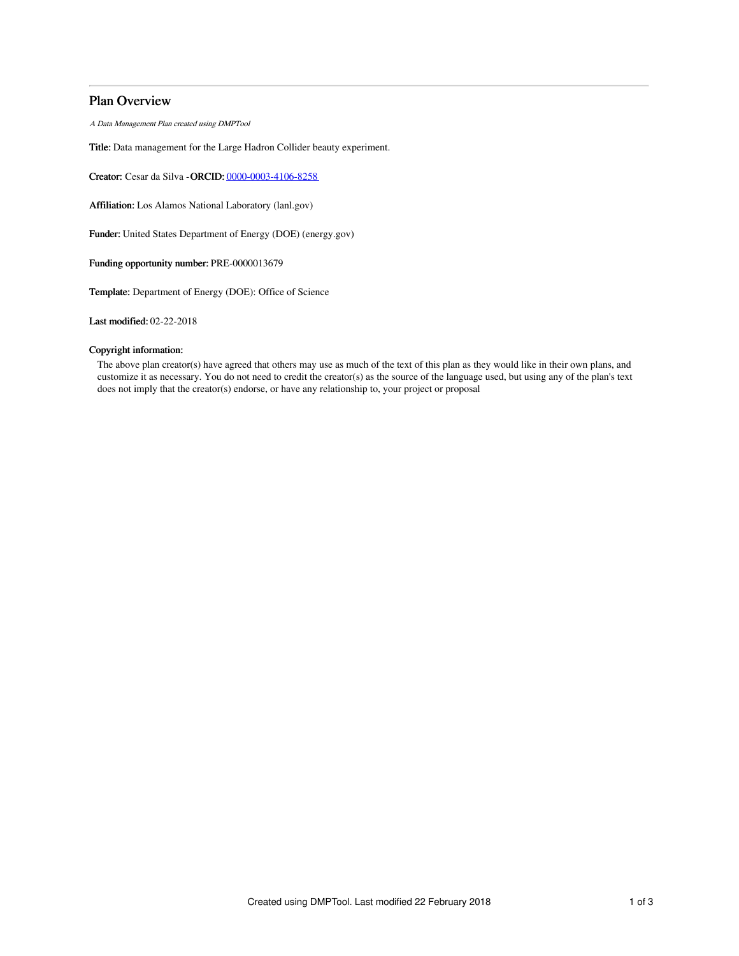# Plan Overview

A Data Management Plan created using DMPTool

Title: Data management for the Large Hadron Collider beauty experiment.

Creator: Cesar da Silva -ORCID: [0000-0003-4106-8258](https://orcid.org/0000-0003-4106-8258)

Affiliation: Los Alamos National Laboratory (lanl.gov)

Funder: United States Department of Energy (DOE) (energy.gov)

Funding opportunity number: PRE-0000013679

Template: Department of Energy (DOE): Office of Science

Last modified: 02-22-2018

## Copyright information:

The above plan creator(s) have agreed that others may use as much of the text of this plan as they would like in their own plans, and customize it as necessary. You do not need to credit the creator(s) as the source of the language used, but using any of the plan's text does not imply that the creator(s) endorse, or have any relationship to, your project or proposal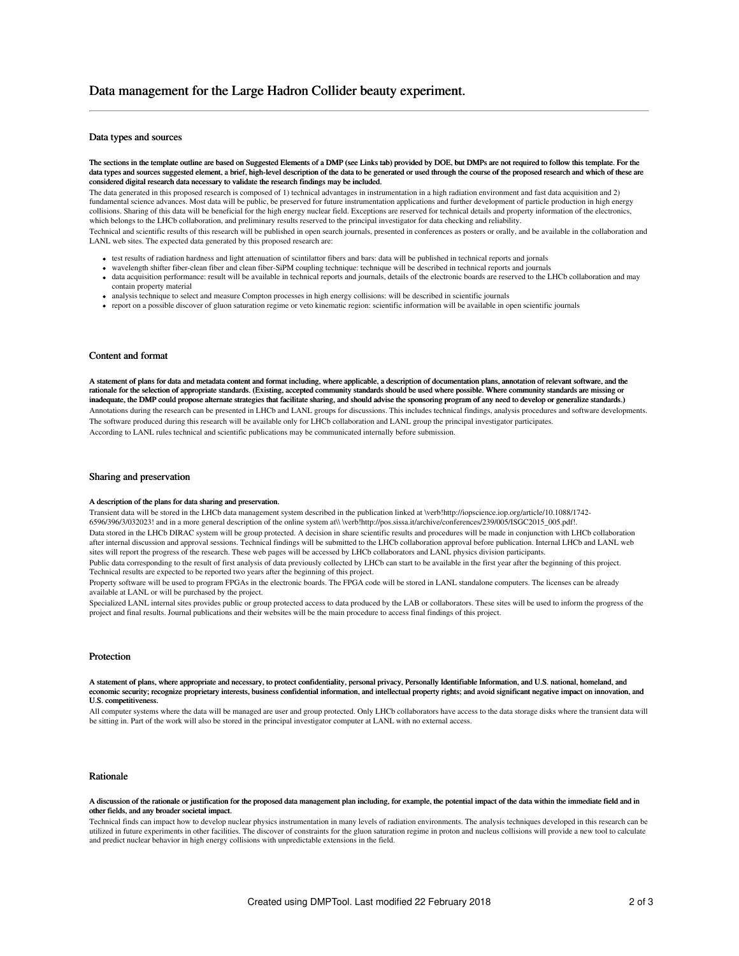## Data types and sources

The sections in the template outline are based on Suggested Elements of a DMP (see Links tab) provided by DOE, but DMPs are not required to follow this template. For the data types and sources suggested element, a brief, high-level description of the data to be generated or used through the course of the proposed research and which of these are considered digital research data necessary to validate the research findings may be included.

The data generated in this proposed research is composed of 1) technical advantages in instrumentation in a high radiation environment and fast data acquisition and 2) fundamental science advances. Most data will be public, be preserved for future instrumentation applications and further development of particle production in high energy collisions. Sharing of this data will be beneficial for the high energy nuclear field. Exceptions are reserved for technical details and property information of the electronics, which belongs to the LHCb collaboration, and preliminary results reserved to the principal investigator for data checking and reliability.

Technical and scientific results of this research will be published in open search journals, presented in conferences as posters or orally, and be available in the collaboration and LANL web sites. The expected data generated by this proposed research are:

- test results of radiation hardness and light attenuation of scintilattor fibers and bars: data will be published in technical reports and jornals
- wavelength shifter fiber-clean fiber and clean fiber-SiPM coupling technique: technique will be described in technical reports and journals data acquisition performance: result will be available in technical reports and journals, details of the electronic boards are reserved to the LHCb collaboration and may contain property material
- analysis technique to select and measure Compton processes in high energy collisions: will be described in scientific journals
- report on a possible discover of gluon saturation regime or veto kinematic region: scientific information will be available in open scientific journals

#### Content and format

A statement of plans for data and metadata content and format including, where applicable, a description of documentation plans, annotation of relevant software, and the rationale for the selection of appropriate standards. (Existing, accepted community standards should be used where possible. Where community standards are missing or inadequate, the DMP could propose alternate strategies that facilitate sharing, and should advise the sponsoring program of any need to develop or generalize standards.) Annotations during the research can be presented in LHCb and LANL groups for discussions. This includes technical findings, analysis procedures and software developments. The software produced during this research will be available only for LHCb collaboration and LANL group the principal investigator participates. According to LANL rules technical and scientific publications may be communicated internally before submission.

### Sharing and preservation

### A description of the plans for data sharing and preservation.

Transient data will be stored in the LHCb data management system described in the publication linked at \verb!http://iopscience.iop.org/article/10.1088/1742- 6596/396/3/032023! and in a more general description of the online system at\\ \verb!http://pos.sissa.it/archive/conferences/239/005/ISGC2015\_005.pdf!. Data stored in the LHCb DIRAC system will be group protected. A decision in share scientific results and procedures will be made in conjunction with LHCb collaboration after internal discussion and approval sessions. Technical findings will be submitted to the LHCb collaboration approval before publication. Internal LHCb and LANL web sites will report the progress of the research. These web pages will be accessed by LHCb collaborators and LANL physics division participants.

Public data corresponding to the result of first analysis of data previously collected by LHCb can start to be available in the first year after the beginning of this project. Technical results are expected to be reported two years after the beginning of this project.

Property software will be used to program FPGAs in the electronic boards. The FPGA code will be stored in LANL standalone computers. The licenses can be already available at LANL or will be purchased by the project.

Specialized LANL internal sites provides public or group protected access to data produced by the LAB or collaborators. These sites will be used to inform the progress of the project and final results. Journal publications and their websites will be the main procedure to access final findings of this project.

#### Protection

A statement of plans, where appropriate and necessary, to protect confidentiality, personal privacy, Personally Identifiable Information, and U.S. national, homeland, and economic security; recognize proprietary interests, business confidential information, and intellectual property rights; and avoid significant negative impact on innovation, and U.S. competitiveness.

All computer systems where the data will be managed are user and group protected. Only LHCb collaborators have access to the data storage disks where the transient data will be sitting in. Part of the work will also be stored in the principal investigator computer at LANL with no external access.

#### Rationale

#### A discussion of the rationale or justification for the proposed data management plan including, for example, the potential impact of the data within the immediate field and in other fields, and any broader societal impact.

Technical finds can impact how to develop nuclear physics instrumentation in many levels of radiation environments. The analysis techniques developed in this research can be utilized in future experiments in other facilities. The discover of constraints for the gluon saturation regime in proton and nucleus collisions will provide a new tool to calculate and predict nuclear behavior in high energy collisions with unpredictable extensions in the field.